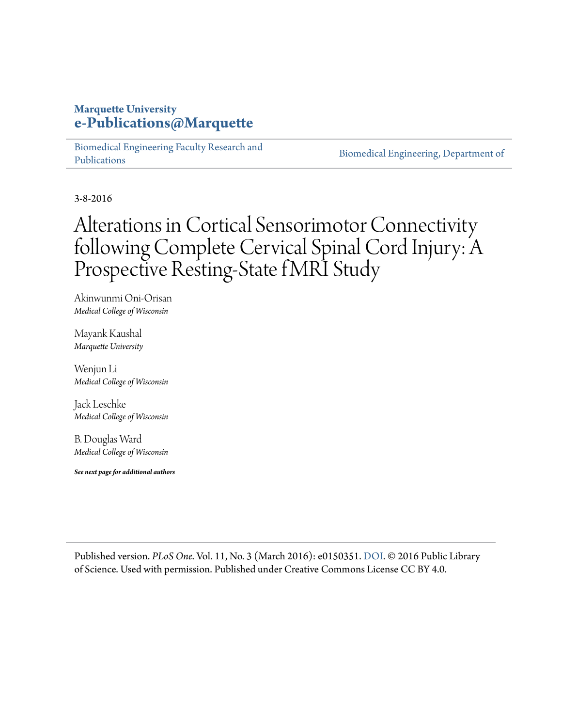## **Marquette University [e-Publications@Marquette](https://epublications.marquette.edu)**

[Biomedical Engineering Faculty Research and](https://epublications.marquette.edu/bioengin_fac) [Publications](https://epublications.marquette.edu/bioengin_fac)

[Biomedical Engineering, Department of](https://epublications.marquette.edu/bioengin)

3-8-2016

# Alterations in Cortical Sensorimotor Connectivity following Complete Cervical Spinal Cord Injury: A Prospective Resting-State fMRI Study

Akinwunmi Oni-Orisan *Medical College of Wisconsin*

Mayank Kaushal *Marquette University*

Wenjun Li *Medical College of Wisconsin*

Jack Leschke *Medical College of Wisconsin*

B. Douglas Ward *Medical College of Wisconsin*

*See next page for additional authors*

Published version. *PLoS One*. Vol. 11, No. 3 (March 2016): e0150351. [DOI.](http://dx.doi.org/10.1371/journal.pone.0150351) © 2016 Public Library of Science. Used with permission. Published under Creative Commons License CC BY 4.0.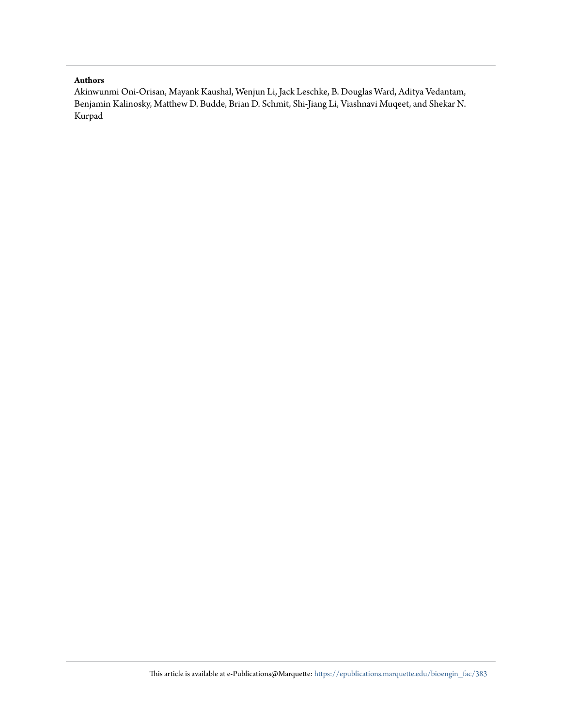#### **Authors**

Akinwunmi Oni-Orisan, Mayank Kaushal, Wenjun Li, Jack Leschke, B. Douglas Ward, Aditya Vedantam, Benjamin Kalinosky, Matthew D. Budde, Brian D. Schmit, Shi-Jiang Li, Viashnavi Muqeet, and Shekar N. Kurpad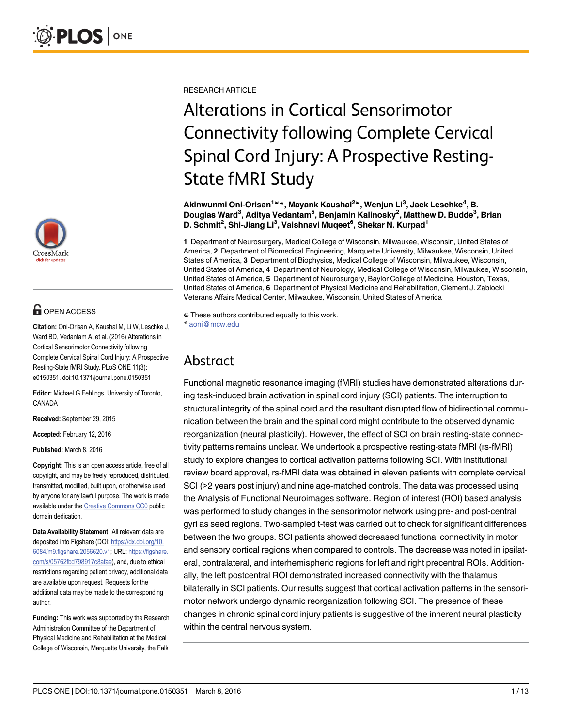

# **G** OPEN ACCESS

Citation: Oni-Orisan A, Kaushal M, Li W, Leschke J, Ward BD, Vedantam A, et al. (2016) Alterations in Cortical Sensorimotor Connectivity following Complete Cervical Spinal Cord Injury: A Prospective Resting-State fMRI Study. PLoS ONE 11(3): e0150351. doi:10.1371/journal.pone.0150351

Editor: Michael G Fehlings, University of Toronto, CANADA

Received: September 29, 2015

Accepted: February 12, 2016

Published: March 8, 2016

Copyright: This is an open access article, free of all copyright, and may be freely reproduced, distributed, transmitted, modified, built upon, or otherwise used by anyone for any lawful purpose. The work is made available under the [Creative Commons CC0](https://creativecommons.org/publicdomain/zero/1.0/) public domain dedication.

Data Availability Statement: All relevant data are deposited into Figshare (DOI: [https://dx.doi.org/10.](https://dx.doi.org/10.6084/m9.figshare.2056620.v1) [6084/m9.figshare.2056620.v1](https://dx.doi.org/10.6084/m9.figshare.2056620.v1); URL: [https://figshare.](https://figshare.com/s/05762fbd798917c8afae) [com/s/05762fbd798917c8afae\)](https://figshare.com/s/05762fbd798917c8afae), and, due to ethical restrictions regarding patient privacy, additional data are available upon request. Requests for the additional data may be made to the corresponding author.

Funding: This work was supported by the Research Administration Committee of the Department of Physical Medicine and Rehabilitation at the Medical College of Wisconsin, Marquette University, the Falk

RESEARCH ARTICLE

# Alterations in Cortical Sensorimotor Connectivity following Complete Cervical Spinal Cord Injury: A Prospective Resting-State fMRI Study

Akinwunmi Oni-Orisan<sup>1ଢ</sup>\*, Mayank Kaushal<sup>2ଢ</sup>, Wenjun Li<sup>3</sup>, Jack Leschke<sup>4</sup>, B. Douglas Ward<sup>3</sup>, Aditya Vedantam<sup>5</sup>, Benjamin Kalinosky<sup>2</sup>, Matthew D. Budde<sup>3</sup>, Brian D. Schmit<sup>2</sup>, Shi-Jiang Li<sup>3</sup>, Vaishnavi Muqeet<sup>6</sup>, Shekar N. Kurpad<sup>1</sup>

1 Department of Neurosurgery, Medical College of Wisconsin, Milwaukee, Wisconsin, United States of America, 2 Department of Biomedical Engineering, Marquette University, Milwaukee, Wisconsin, United States of America, 3 Department of Biophysics, Medical College of Wisconsin, Milwaukee, Wisconsin, United States of America, 4 Department of Neurology, Medical College of Wisconsin, Milwaukee, Wisconsin, United States of America, 5 Department of Neurosurgery, Baylor College of Medicine, Houston, Texas, United States of America, 6 Department of Physical Medicine and Rehabilitation, Clement J. Zablocki Veterans Affairs Medical Center, Milwaukee, Wisconsin, United States of America

 $\odot$  These authors contributed equally to this work. \* aoni@mcw.edu

# Abstract

Functional magnetic resonance imaging (fMRI) studies have demonstrated alterations during task-induced brain activation in spinal cord injury (SCI) patients. The interruption to structural integrity of the spinal cord and the resultant disrupted flow of bidirectional communication between the brain and the spinal cord might contribute to the observed dynamic reorganization (neural plasticity). However, the effect of SCI on brain resting-state connectivity patterns remains unclear. We undertook a prospective resting-state fMRI (rs-fMRI) study to explore changes to cortical activation patterns following SCI. With institutional review board approval, rs-fMRI data was obtained in eleven patients with complete cervical SCI (>2 years post injury) and nine age-matched controls. The data was processed using the Analysis of Functional Neuroimages software. Region of interest (ROI) based analysis was performed to study changes in the sensorimotor network using pre- and post-central gyri as seed regions. Two-sampled t-test was carried out to check for significant differences between the two groups. SCI patients showed decreased functional connectivity in motor and sensory cortical regions when compared to controls. The decrease was noted in ipsilateral, contralateral, and interhemispheric regions for left and right precentral ROIs. Additionally, the left postcentral ROI demonstrated increased connectivity with the thalamus bilaterally in SCI patients. Our results suggest that cortical activation patterns in the sensorimotor network undergo dynamic reorganization following SCI. The presence of these changes in chronic spinal cord injury patients is suggestive of the inherent neural plasticity within the central nervous system.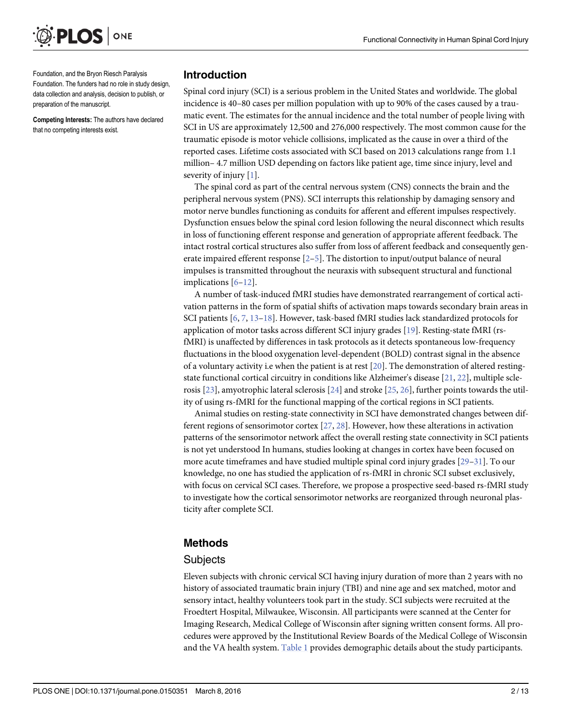<span id="page-3-0"></span>

Foundation, and the Bryon Riesch Paralysis Foundation. The funders had no role in study design, data collection and analysis, decision to publish, or preparation of the manuscript.

Competing Interests: The authors have declared that no competing interests exist.

#### Introduction

Spinal cord injury (SCI) is a serious problem in the United States and worldwide. The global incidence is 40–80 cases per million population with up to 90% of the cases caused by a traumatic event. The estimates for the annual incidence and the total number of people living with SCI in US are approximately 12,500 and 276,000 respectively. The most common cause for the traumatic episode is motor vehicle collisions, implicated as the cause in over a third of the reported cases. Lifetime costs associated with SCI based on 2013 calculations range from 1.1 million– 4.7 million USD depending on factors like patient age, time since injury, level and severity of injury  $[1]$  $[1]$ .

The spinal cord as part of the central nervous system (CNS) connects the brain and the peripheral nervous system (PNS). SCI interrupts this relationship by damaging sensory and motor nerve bundles functioning as conduits for afferent and efferent impulses respectively. Dysfunction ensues below the spinal cord lesion following the neural disconnect which results in loss of functioning efferent response and generation of appropriate afferent feedback. The intact rostral cortical structures also suffer from loss of afferent feedback and consequently generate impaired efferent response [[2](#page-11-0)–[5\]](#page-11-0). The distortion to input/output balance of neural impulses is transmitted throughout the neuraxis with subsequent structural and functional implications  $[6-12]$  $[6-12]$  $[6-12]$  $[6-12]$  $[6-12]$ .

A number of task-induced fMRI studies have demonstrated rearrangement of cortical activation patterns in the form of spatial shifts of activation maps towards secondary brain areas in SCI patients [[6,](#page-12-0) [7,](#page-12-0) [13](#page-12-0)-[18\]](#page-12-0). However, task-based fMRI studies lack standardized protocols for application of motor tasks across different SCI injury grades [[19\]](#page-12-0). Resting-state fMRI (rsfMRI) is unaffected by differences in task protocols as it detects spontaneous low-frequency fluctuations in the blood oxygenation level-dependent (BOLD) contrast signal in the absence of a voluntary activity i.e when the patient is at rest [\[20](#page-12-0)]. The demonstration of altered restingstate functional cortical circuitry in conditions like Alzheimer's disease [\[21](#page-12-0), [22](#page-12-0)], multiple sclerosis [\[23\]](#page-12-0), amyotrophic lateral sclerosis [\[24\]](#page-12-0) and stroke [\[25,](#page-13-0) [26\]](#page-13-0), further points towards the utility of using rs-fMRI for the functional mapping of the cortical regions in SCI patients.

Animal studies on resting-state connectivity in SCI have demonstrated changes between different regions of sensorimotor cortex [[27](#page-13-0), [28](#page-13-0)]. However, how these alterations in activation patterns of the sensorimotor network affect the overall resting state connectivity in SCI patients is not yet understood In humans, studies looking at changes in cortex have been focused on more acute timeframes and have studied multiple spinal cord injury grades [[29](#page-13-0)–[31](#page-13-0)]. To our knowledge, no one has studied the application of rs-fMRI in chronic SCI subset exclusively, with focus on cervical SCI cases. Therefore, we propose a prospective seed-based rs-fMRI study to investigate how the cortical sensorimotor networks are reorganized through neuronal plasticity after complete SCI.

### Methods

#### **Subjects**

Eleven subjects with chronic cervical SCI having injury duration of more than 2 years with no history of associated traumatic brain injury (TBI) and nine age and sex matched, motor and sensory intact, healthy volunteers took part in the study. SCI subjects were recruited at the Froedtert Hospital, Milwaukee, Wisconsin. All participants were scanned at the Center for Imaging Research, Medical College of Wisconsin after signing written consent forms. All procedures were approved by the Institutional Review Boards of the Medical College of Wisconsin and the VA health system. [Table 1](#page-4-0) provides demographic details about the study participants.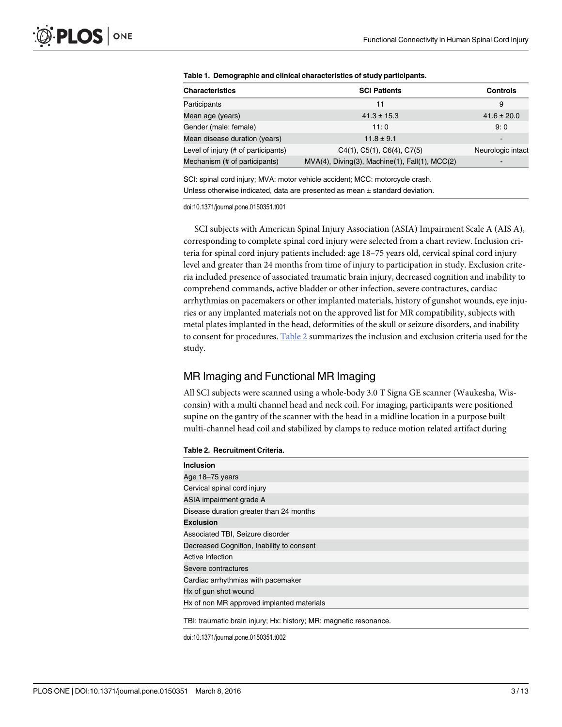| <b>Characteristics</b>              | <b>SCI Patients</b>                               | Controls                 |
|-------------------------------------|---------------------------------------------------|--------------------------|
| Participants                        | 11                                                | 9                        |
| Mean age (years)                    | $41.3 \pm 15.3$                                   | $41.6 \pm 20.0$          |
| Gender (male: female)               | 11:0                                              | 9:0                      |
| Mean disease duration (years)       | $11.8 \pm 9.1$                                    | $\overline{\phantom{0}}$ |
| Level of injury (# of participants) | $C4(1)$ , $C5(1)$ , $C6(4)$ , $C7(5)$             | Neurologic intact        |
| Mechanism (# of participants)       | $MVA(4)$ , Diving(3), Machine(1), Fall(1), MCC(2) | -                        |

<span id="page-4-0"></span>

| Table 1. Demographic and clinical characteristics of study participants. |  |  |
|--------------------------------------------------------------------------|--|--|
|--------------------------------------------------------------------------|--|--|

SCI: spinal cord injury; MVA: motor vehicle accident; MCC: motorcycle crash. Unless otherwise indicated, data are presented as mean ± standard deviation.

doi:10.1371/journal.pone.0150351.t001

SCI subjects with American Spinal Injury Association (ASIA) Impairment Scale A (AIS A), corresponding to complete spinal cord injury were selected from a chart review. Inclusion criteria for spinal cord injury patients included: age 18–75 years old, cervical spinal cord injury level and greater than 24 months from time of injury to participation in study. Exclusion criteria included presence of associated traumatic brain injury, decreased cognition and inability to comprehend commands, active bladder or other infection, severe contractures, cardiac arrhythmias on pacemakers or other implanted materials, history of gunshot wounds, eye injuries or any implanted materials not on the approved list for MR compatibility, subjects with metal plates implanted in the head, deformities of the skull or seizure disorders, and inability to consent for procedures. Table 2 summarizes the inclusion and exclusion criteria used for the study.

#### MR Imaging and Functional MR Imaging

All SCI subjects were scanned using a whole-body 3.0 T Signa GE scanner (Waukesha, Wisconsin) with a multi channel head and neck coil. For imaging, participants were positioned supine on the gantry of the scanner with the head in a midline location in a purpose built multi-channel head coil and stabilized by clamps to reduce motion related artifact during

#### Table 2. Recruitment Criteria.

| <b>Inclusion</b>                          |
|-------------------------------------------|
| Age 18-75 years                           |
| Cervical spinal cord injury               |
| ASIA impairment grade A                   |
| Disease duration greater than 24 months   |
| <b>Exclusion</b>                          |
| Associated TBI, Seizure disorder          |
| Decreased Cognition, Inability to consent |
| Active Infection                          |
| Severe contractures                       |
| Cardiac arrhythmias with pacemaker        |
| Hx of gun shot wound                      |
| Hx of non MR approved implanted materials |
|                                           |

TBI: traumatic brain injury; Hx: history; MR: magnetic resonance.

doi:10.1371/journal.pone.0150351.t002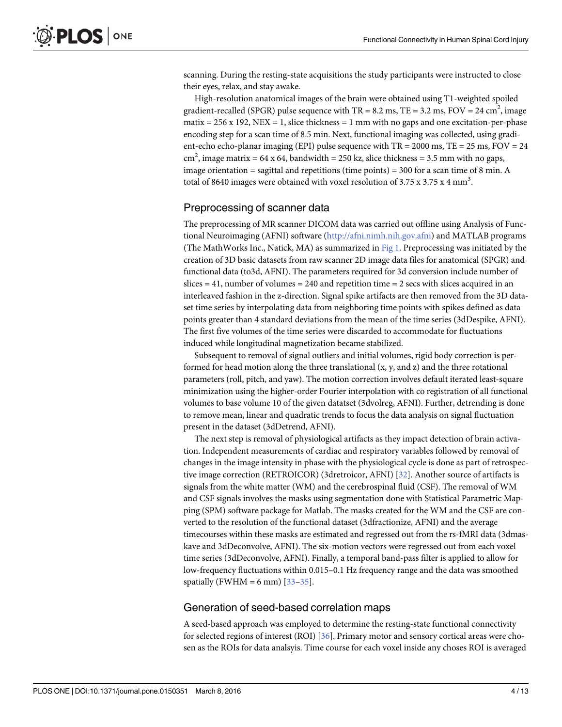<span id="page-5-0"></span>scanning. During the resting-state acquisitions the study participants were instructed to close their eyes, relax, and stay awake.

High-resolution anatomical images of the brain were obtained using T1-weighted spoiled gradient-recalled (SPGR) pulse sequence with TR = 8.2 ms, TE = 3.2 ms, FOV = 24 cm<sup>2</sup>, image matix =  $256 \times 192$ , NEX = 1, slice thickness = 1 mm with no gaps and one excitation-per-phase encoding step for a scan time of 8.5 min. Next, functional imaging was collected, using gradient-echo echo-planar imaging (EPI) pulse sequence with  $TR = 2000$  ms,  $TE = 25$  ms,  $FOV = 24$ cm<sup>2</sup>, image matrix = 64 x 64, bandwidth = 250 kz, slice thickness = 3.5 mm with no gaps, image orientation = sagittal and repetitions (time points) = 300 for a scan time of 8 min. A total of 8640 images were obtained with voxel resolution of 3.75 x 3.75 x 4 mm<sup>3</sup>.

#### Preprocessing of scanner data

The preprocessing of MR scanner DICOM data was carried out offline using Analysis of Functional Neuroimaging (AFNI) software [\(http://afni.nimh.nih.gov.afni\)](http://afni.nimh.nih.gov.afni/) and MATLAB programs (The MathWorks Inc., Natick, MA) as summarized in [Fig 1](#page-6-0). Preprocessing was initiated by the creation of 3D basic datasets from raw scanner 2D image data files for anatomical (SPGR) and functional data (to3d, AFNI). The parameters required for 3d conversion include number of slices  $= 41$ , number of volumes  $= 240$  and repetition time  $= 2$  secs with slices acquired in an interleaved fashion in the z-direction. Signal spike artifacts are then removed from the 3D dataset time series by interpolating data from neighboring time points with spikes defined as data points greater than 4 standard deviations from the mean of the time series (3dDespike, AFNI). The first five volumes of the time series were discarded to accommodate for fluctuations induced while longitudinal magnetization became stabilized.

Subsequent to removal of signal outliers and initial volumes, rigid body correction is performed for head motion along the three translational  $(x, y, and z)$  and the three rotational parameters (roll, pitch, and yaw). The motion correction involves default iterated least-square minimization using the higher-order Fourier interpolation with co registration of all functional volumes to base volume 10 of the given datatset (3dvolreg, AFNI). Further, detrending is done to remove mean, linear and quadratic trends to focus the data analysis on signal fluctuation present in the dataset (3dDetrend, AFNI).

The next step is removal of physiological artifacts as they impact detection of brain activation. Independent measurements of cardiac and respiratory variables followed by removal of changes in the image intensity in phase with the physiological cycle is done as part of retrospective image correction (RETROICOR) (3dretroicor, AFNI) [\[32](#page-13-0)]. Another source of artifacts is signals from the white matter (WM) and the cerebrospinal fluid (CSF). The removal of WM and CSF signals involves the masks using segmentation done with Statistical Parametric Mapping (SPM) software package for Matlab. The masks created for the WM and the CSF are converted to the resolution of the functional dataset (3dfractionize, AFNI) and the average timecourses within these masks are estimated and regressed out from the rs-fMRI data (3dmaskave and 3dDeconvolve, AFNI). The six-motion vectors were regressed out from each voxel time series (3dDeconvolve, AFNI). Finally, a temporal band-pass filter is applied to allow for low-frequency fluctuations within 0.015–0.1 Hz frequency range and the data was smoothed spatially (FWHM = 6 mm)  $[33-35]$  $[33-35]$  $[33-35]$ .

#### Generation of seed-based correlation maps

A seed-based approach was employed to determine the resting-state functional connectivity for selected regions of interest (ROI) [[36](#page-13-0)]. Primary motor and sensory cortical areas were chosen as the ROIs for data analsyis. Time course for each voxel inside any choses ROI is averaged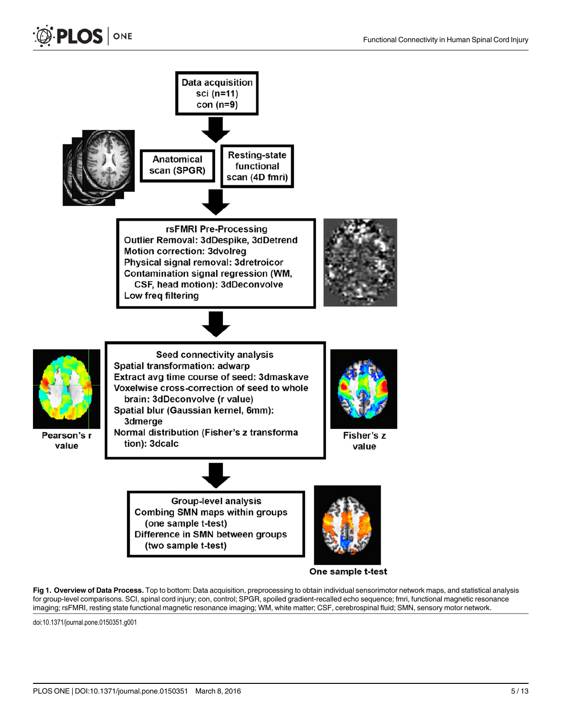<span id="page-6-0"></span>

One sample t-test

[Fig 1. O](#page-5-0)verview of Data Process. Top to bottom: Data acquisition, preprocessing to obtain individual sensorimotor network maps, and statistical analysis for group-level comparisons. SCI, spinal cord injury; con, control; SPGR, spoiled gradient-recalled echo sequence; fmri, functional magnetic resonance imaging; rsFMRI, resting state functional magnetic resonance imaging; WM, white matter; CSF, cerebrospinal fluid; SMN, sensory motor network.

doi:10.1371/journal.pone.0150351.g001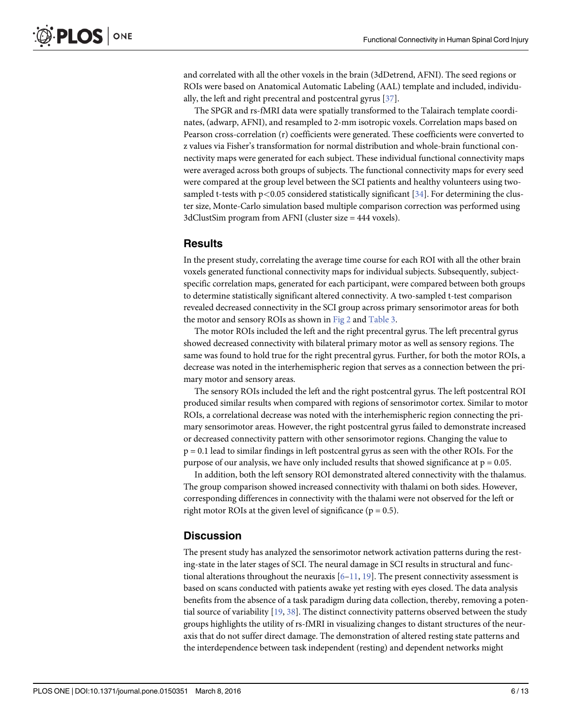<span id="page-7-0"></span>and correlated with all the other voxels in the brain (3dDetrend, AFNI). The seed regions or ROIs were based on Anatomical Automatic Labeling (AAL) template and included, individually, the left and right precentral and postcentral gyrus [[37\]](#page-13-0).

The SPGR and rs-fMRI data were spatially transformed to the Talairach template coordinates, (adwarp, AFNI), and resampled to 2-mm isotropic voxels. Correlation maps based on Pearson cross-correlation (r) coefficients were generated. These coefficients were converted to z values via Fisher's transformation for normal distribution and whole-brain functional connectivity maps were generated for each subject. These individual functional connectivity maps were averaged across both groups of subjects. The functional connectivity maps for every seed were compared at the group level between the SCI patients and healthy volunteers using twosampled t-tests with  $p<0.05$  considered statistically significant [\[34\]](#page-13-0). For determining the cluster size, Monte-Carlo simulation based multiple comparison correction was performed using 3dClustSim program from AFNI (cluster size = 444 voxels).

#### **Results**

In the present study, correlating the average time course for each ROI with all the other brain voxels generated functional connectivity maps for individual subjects. Subsequently, subjectspecific correlation maps, generated for each participant, were compared between both groups to determine statistically significant altered connectivity. A two-sampled t-test comparison revealed decreased connectivity in the SCI group across primary sensorimotor areas for both the motor and sensory ROIs as shown in [Fig 2](#page-8-0) and [Table 3.](#page-9-0)

The motor ROIs included the left and the right precentral gyrus. The left precentral gyrus showed decreased connectivity with bilateral primary motor as well as sensory regions. The same was found to hold true for the right precentral gyrus. Further, for both the motor ROIs, a decrease was noted in the interhemispheric region that serves as a connection between the primary motor and sensory areas.

The sensory ROIs included the left and the right postcentral gyrus. The left postcentral ROI produced similar results when compared with regions of sensorimotor cortex. Similar to motor ROIs, a correlational decrease was noted with the interhemispheric region connecting the primary sensorimotor areas. However, the right postcentral gyrus failed to demonstrate increased or decreased connectivity pattern with other sensorimotor regions. Changing the value to  $p = 0.1$  lead to similar findings in left postcentral gyrus as seen with the other ROIs. For the purpose of our analysis, we have only included results that showed significance at  $p = 0.05$ .

In addition, both the left sensory ROI demonstrated altered connectivity with the thalamus. The group comparison showed increased connectivity with thalami on both sides. However, corresponding differences in connectivity with the thalami were not observed for the left or right motor ROIs at the given level of significance ( $p = 0.5$ ).

#### **Discussion**

The present study has analyzed the sensorimotor network activation patterns during the resting-state in the later stages of SCI. The neural damage in SCI results in structural and functional alterations throughout the neuraxis  $[6-11, 19]$  $[6-11, 19]$  $[6-11, 19]$  $[6-11, 19]$  $[6-11, 19]$  $[6-11, 19]$  $[6-11, 19]$ . The present connectivity assessment is based on scans conducted with patients awake yet resting with eyes closed. The data analysis benefits from the absence of a task paradigm during data collection, thereby, removing a potential source of variability [\[19](#page-12-0), [38](#page-13-0)]. The distinct connectivity patterns observed between the study groups highlights the utility of rs-fMRI in visualizing changes to distant structures of the neuraxis that do not suffer direct damage. The demonstration of altered resting state patterns and the interdependence between task independent (resting) and dependent networks might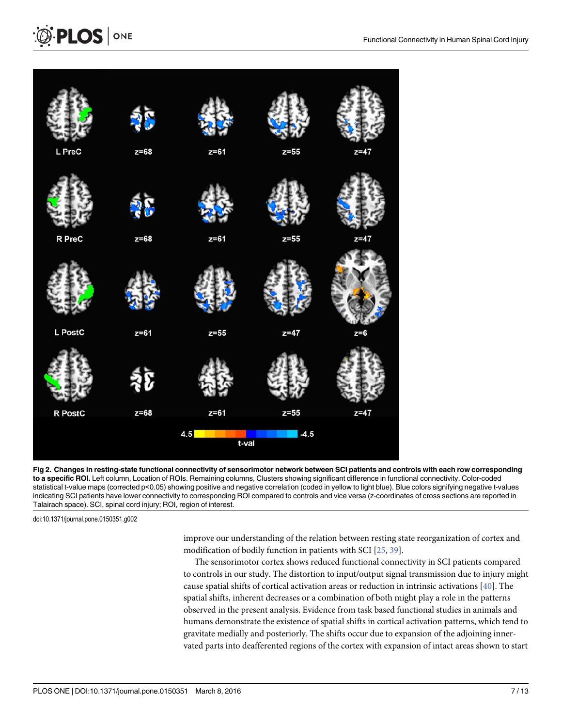<span id="page-8-0"></span>



[Fig 2. C](#page-7-0)hanges in resting-state functional connectivity of sensorimotor network between SCI patients and controls with each row corresponding to a specific ROI. Left column, Location of ROIs. Remaining columns, Clusters showing significant difference in functional connectivity. Color-coded statistical t-value maps (corrected p<0.05) showing positive and negative correlation (coded in yellow to light blue). Blue colors signifying negative t-values indicating SCI patients have lower connectivity to corresponding ROI compared to controls and vice versa (z-coordinates of cross sections are reported in Talairach space). SCI, spinal cord injury; ROI, region of interest.

doi:10.1371/journal.pone.0150351.g002

improve our understanding of the relation between resting state reorganization of cortex and modification of bodily function in patients with SCI [[25](#page-13-0), [39](#page-13-0)].

The sensorimotor cortex shows reduced functional connectivity in SCI patients compared to controls in our study. The distortion to input/output signal transmission due to injury might cause spatial shifts of cortical activation areas or reduction in intrinsic activations  $[40]$ . The spatial shifts, inherent decreases or a combination of both might play a role in the patterns observed in the present analysis. Evidence from task based functional studies in animals and humans demonstrate the existence of spatial shifts in cortical activation patterns, which tend to gravitate medially and posteriorly. The shifts occur due to expansion of the adjoining innervated parts into deafferented regions of the cortex with expansion of intact areas shown to start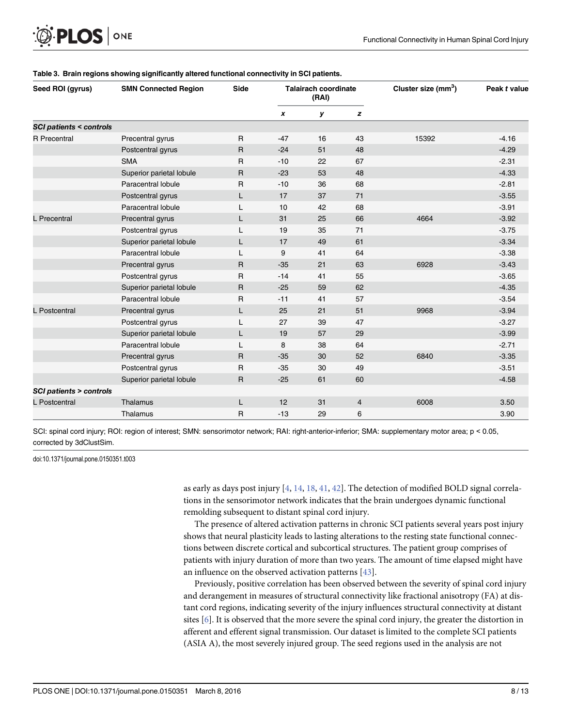<span id="page-9-0"></span>

| Seed ROI (gyrus)                  | <b>SMN Connected Region</b> | Side         | <b>Talairach coordinate</b><br>(RAI) |    |                | Cluster size (mm <sup>3</sup> ) | Peak t value |
|-----------------------------------|-----------------------------|--------------|--------------------------------------|----|----------------|---------------------------------|--------------|
|                                   |                             |              | $\boldsymbol{x}$                     | у  | z              |                                 |              |
| <b>SCI patients &lt; controls</b> |                             |              |                                      |    |                |                                 |              |
| <b>R</b> Precentral               | Precentral gyrus            | $\mathsf{R}$ | $-47$                                | 16 | 43             | 15392                           | $-4.16$      |
|                                   | Postcentral gyrus           | $\mathsf{R}$ | $-24$                                | 51 | 48             |                                 | $-4.29$      |
|                                   | <b>SMA</b>                  | $\mathsf{R}$ | $-10$                                | 22 | 67             |                                 | $-2.31$      |
|                                   | Superior parietal lobule    | $\mathsf{R}$ | $-23$                                | 53 | 48             |                                 | $-4.33$      |
|                                   | Paracentral lobule          | $\mathsf{R}$ | $-10$                                | 36 | 68             |                                 | $-2.81$      |
|                                   | Postcentral gyrus           | L            | 17                                   | 37 | 71             |                                 | $-3.55$      |
|                                   | Paracentral lobule          | L            | 10                                   | 42 | 68             |                                 | $-3.91$      |
| <b>L</b> Precentral               | Precentral gyrus            | L            | 31                                   | 25 | 66             | 4664                            | $-3.92$      |
|                                   | Postcentral gyrus           |              | 19                                   | 35 | 71             |                                 | $-3.75$      |
|                                   | Superior parietal lobule    | L            | 17                                   | 49 | 61             |                                 | $-3.34$      |
|                                   | Paracentral lobule          | L            | 9                                    | 41 | 64             |                                 | $-3.38$      |
|                                   | Precentral gyrus            | $\mathsf{R}$ | $-35$                                | 21 | 63             | 6928                            | $-3.43$      |
|                                   | Postcentral gyrus           | $\mathsf{R}$ | $-14$                                | 41 | 55             |                                 | $-3.65$      |
|                                   | Superior parietal lobule    | $\mathsf{R}$ | $-25$                                | 59 | 62             |                                 | $-4.35$      |
|                                   | Paracentral lobule          | $\mathsf{R}$ | $-11$                                | 41 | 57             |                                 | $-3.54$      |
| L Postcentral                     | Precentral gyrus            | L            | 25                                   | 21 | 51             | 9968                            | $-3.94$      |
|                                   | Postcentral gyrus           | L            | 27                                   | 39 | 47             |                                 | $-3.27$      |
|                                   | Superior parietal lobule    | L            | 19                                   | 57 | 29             |                                 | $-3.99$      |
|                                   | Paracentral lobule          | L            | 8                                    | 38 | 64             |                                 | $-2.71$      |
|                                   | Precentral gyrus            | $\mathsf{R}$ | $-35$                                | 30 | 52             | 6840                            | $-3.35$      |
|                                   | Postcentral gyrus           | $\mathsf{R}$ | $-35$                                | 30 | 49             |                                 | $-3.51$      |
|                                   | Superior parietal lobule    | $\mathsf{R}$ | $-25$                                | 61 | 60             |                                 | $-4.58$      |
| <b>SCI patients &gt; controls</b> |                             |              |                                      |    |                |                                 |              |
| L Postcentral                     | Thalamus                    | L            | 12                                   | 31 | $\overline{4}$ | 6008                            | 3.50         |
|                                   | Thalamus                    | R            | $-13$                                | 29 | 6              |                                 | 3.90         |

#### [Table 3.](#page-7-0) Brain regions showing significantly altered functional connectivity in SCI patients.

SCI: spinal cord injury; ROI: region of interest; SMN: sensorimotor network; RAI: right-anterior-inferior; SMA: supplementary motor area; p < 0.05, corrected by 3dClustSim.

doi:10.1371/journal.pone.0150351.t003

as early as days post injury  $[4, 14, 18, 41, 42]$  $[4, 14, 18, 41, 42]$  $[4, 14, 18, 41, 42]$  $[4, 14, 18, 41, 42]$  $[4, 14, 18, 41, 42]$  $[4, 14, 18, 41, 42]$  $[4, 14, 18, 41, 42]$  $[4, 14, 18, 41, 42]$  $[4, 14, 18, 41, 42]$  $[4, 14, 18, 41, 42]$  $[4, 14, 18, 41, 42]$ . The detection of modified BOLD signal correlations in the sensorimotor network indicates that the brain undergoes dynamic functional remolding subsequent to distant spinal cord injury.

The presence of altered activation patterns in chronic SCI patients several years post injury shows that neural plasticity leads to lasting alterations to the resting state functional connections between discrete cortical and subcortical structures. The patient group comprises of patients with injury duration of more than two years. The amount of time elapsed might have an influence on the observed activation patterns [\[43\]](#page-14-0).

Previously, positive correlation has been observed between the severity of spinal cord injury and derangement in measures of structural connectivity like fractional anisotropy (FA) at distant cord regions, indicating severity of the injury influences structural connectivity at distant sites  $[6]$  $[6]$ . It is observed that the more severe the spinal cord injury, the greater the distortion in afferent and efferent signal transmission. Our dataset is limited to the complete SCI patients (ASIA A), the most severely injured group. The seed regions used in the analysis are not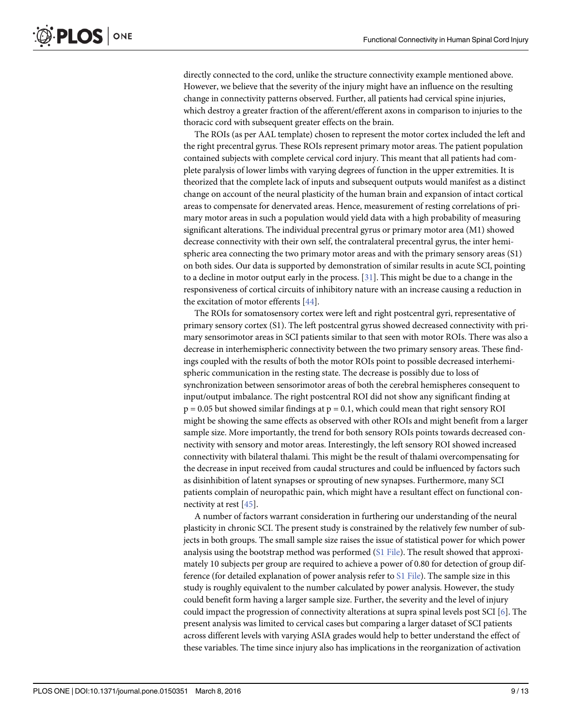<span id="page-10-0"></span>directly connected to the cord, unlike the structure connectivity example mentioned above. However, we believe that the severity of the injury might have an influence on the resulting change in connectivity patterns observed. Further, all patients had cervical spine injuries, which destroy a greater fraction of the afferent/efferent axons in comparison to injuries to the thoracic cord with subsequent greater effects on the brain.

The ROIs (as per AAL template) chosen to represent the motor cortex included the left and the right precentral gyrus. These ROIs represent primary motor areas. The patient population contained subjects with complete cervical cord injury. This meant that all patients had complete paralysis of lower limbs with varying degrees of function in the upper extremities. It is theorized that the complete lack of inputs and subsequent outputs would manifest as a distinct change on account of the neural plasticity of the human brain and expansion of intact cortical areas to compensate for denervated areas. Hence, measurement of resting correlations of primary motor areas in such a population would yield data with a high probability of measuring significant alterations. The individual precentral gyrus or primary motor area (M1) showed decrease connectivity with their own self, the contralateral precentral gyrus, the inter hemispheric area connecting the two primary motor areas and with the primary sensory areas (S1) on both sides. Our data is supported by demonstration of similar results in acute SCI, pointing to a decline in motor output early in the process.  $[31]$ . This might be due to a change in the responsiveness of cortical circuits of inhibitory nature with an increase causing a reduction in the excitation of motor efferents [[44](#page-14-0)].

The ROIs for somatosensory cortex were left and right postcentral gyri, representative of primary sensory cortex (S1). The left postcentral gyrus showed decreased connectivity with primary sensorimotor areas in SCI patients similar to that seen with motor ROIs. There was also a decrease in interhemispheric connectivity between the two primary sensory areas. These findings coupled with the results of both the motor ROIs point to possible decreased interhemispheric communication in the resting state. The decrease is possibly due to loss of synchronization between sensorimotor areas of both the cerebral hemispheres consequent to input/output imbalance. The right postcentral ROI did not show any significant finding at  $p = 0.05$  but showed similar findings at  $p = 0.1$ , which could mean that right sensory ROI might be showing the same effects as observed with other ROIs and might benefit from a larger sample size. More importantly, the trend for both sensory ROIs points towards decreased connectivity with sensory and motor areas. Interestingly, the left sensory ROI showed increased connectivity with bilateral thalami. This might be the result of thalami overcompensating for the decrease in input received from caudal structures and could be influenced by factors such as disinhibition of latent synapses or sprouting of new synapses. Furthermore, many SCI patients complain of neuropathic pain, which might have a resultant effect on functional connectivity at rest [\[45\]](#page-14-0).

A number of factors warrant consideration in furthering our understanding of the neural plasticity in chronic SCI. The present study is constrained by the relatively few number of subjects in both groups. The small sample size raises the issue of statistical power for which power analysis using the bootstrap method was performed ([S1 File\)](#page-11-0). The result showed that approximately 10 subjects per group are required to achieve a power of 0.80 for detection of group difference (for detailed explanation of power analysis refer to [S1 File](#page-11-0)). The sample size in this study is roughly equivalent to the number calculated by power analysis. However, the study could benefit form having a larger sample size. Further, the severity and the level of injury could impact the progression of connectivity alterations at supra spinal levels post SCI [[6](#page-12-0)]. The present analysis was limited to cervical cases but comparing a larger dataset of SCI patients across different levels with varying ASIA grades would help to better understand the effect of these variables. The time since injury also has implications in the reorganization of activation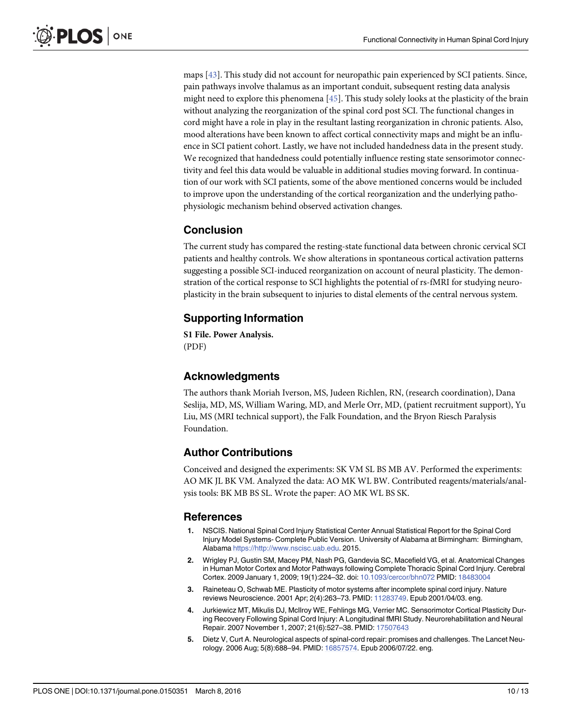<span id="page-11-0"></span>maps [\[43\]](#page-14-0). This study did not account for neuropathic pain experienced by SCI patients. Since, pain pathways involve thalamus as an important conduit, subsequent resting data analysis might need to explore this phenomena  $[45]$  $[45]$  $[45]$ . This study solely looks at the plasticity of the brain without analyzing the reorganization of the spinal cord post SCI. The functional changes in cord might have a role in play in the resultant lasting reorganization in chronic patients. Also, mood alterations have been known to affect cortical connectivity maps and might be an influence in SCI patient cohort. Lastly, we have not included handedness data in the present study. We recognized that handedness could potentially influence resting state sensorimotor connectivity and feel this data would be valuable in additional studies moving forward. In continuation of our work with SCI patients, some of the above mentioned concerns would be included to improve upon the understanding of the cortical reorganization and the underlying pathophysiologic mechanism behind observed activation changes.

### Conclusion

The current study has compared the resting-state functional data between chronic cervical SCI patients and healthy controls. We show alterations in spontaneous cortical activation patterns suggesting a possible SCI-induced reorganization on account of neural plasticity. The demonstration of the cortical response to SCI highlights the potential of rs-fMRI for studying neuroplasticity in the brain subsequent to injuries to distal elements of the central nervous system.

## Supporting Information

[S1 File.](http://www.plosone.org/article/fetchSingleRepresentation.action?uri=info:doi/10.1371/journal.pone.0150351.s001) Power Analysis. (PDF)

## Acknowledgments

The authors thank Moriah Iverson, MS, Judeen Richlen, RN, (research coordination), Dana Seslija, MD, MS, William Waring, MD, and Merle Orr, MD, (patient recruitment support), Yu Liu, MS (MRI technical support), the Falk Foundation, and the Bryon Riesch Paralysis Foundation.

## Author Contributions

Conceived and designed the experiments: SK VM SL BS MB AV. Performed the experiments: AO MK JL BK VM. Analyzed the data: AO MK WL BW. Contributed reagents/materials/analysis tools: BK MB BS SL. Wrote the paper: AO MK WL BS SK.

### References

- [1.](#page-3-0) NSCIS. National Spinal Cord Injury Statistical Center Annual Statistical Report for the Spinal Cord Injury Model Systems- Complete Public Version. University of Alabama at Birmingham: Birmingham, Alabama <https://http://www.nscisc.uab.edu>. 2015.
- [2.](#page-3-0) Wrigley PJ, Gustin SM, Macey PM, Nash PG, Gandevia SC, Macefield VG, et al. Anatomical Changes in Human Motor Cortex and Motor Pathways following Complete Thoracic Spinal Cord Injury. Cerebral Cortex. 2009 January 1, 2009; 19(1):224–32. doi: [10.1093/cercor/bhn072](http://dx.doi.org/10.1093/cercor/bhn072) PMID: [18483004](http://www.ncbi.nlm.nih.gov/pubmed/18483004)
- 3. Raineteau O, Schwab ME. Plasticity of motor systems after incomplete spinal cord injury. Nature reviews Neuroscience. 2001 Apr; 2(4):263–73. PMID: [11283749.](http://www.ncbi.nlm.nih.gov/pubmed/11283749) Epub 2001/04/03. eng.
- [4.](#page-9-0) Jurkiewicz MT, Mikulis DJ, McIlroy WE, Fehlings MG, Verrier MC. Sensorimotor Cortical Plasticity During Recovery Following Spinal Cord Injury: A Longitudinal fMRI Study. Neurorehabilitation and Neural Repair. 2007 November 1, 2007; 21(6):527–38. PMID: [17507643](http://www.ncbi.nlm.nih.gov/pubmed/17507643)
- [5.](#page-3-0) Dietz V, Curt A. Neurological aspects of spinal-cord repair: promises and challenges. The Lancet Neurology. 2006 Aug; 5(8):688–94. PMID: [16857574](http://www.ncbi.nlm.nih.gov/pubmed/16857574). Epub 2006/07/22. eng.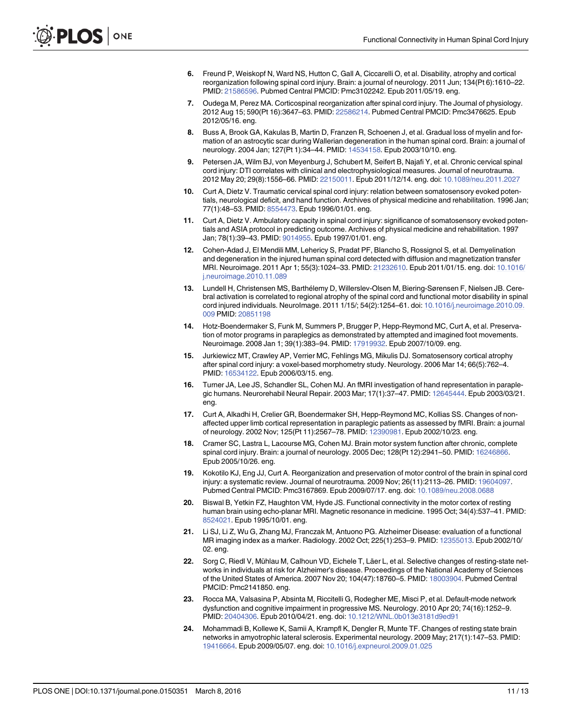- <span id="page-12-0"></span>[6.](#page-3-0) Freund P, Weiskopf N, Ward NS, Hutton C, Gall A, Ciccarelli O, et al. Disability, atrophy and cortical reorganization following spinal cord injury. Brain: a journal of neurology. 2011 Jun; 134(Pt 6):1610–22. PMID: [21586596.](http://www.ncbi.nlm.nih.gov/pubmed/21586596) Pubmed Central PMCID: Pmc3102242. Epub 2011/05/19. eng.
- [7.](#page-3-0) Oudega M, Perez MA. Corticospinal reorganization after spinal cord injury. The Journal of physiology. 2012 Aug 15; 590(Pt 16):3647–63. PMID: [22586214](http://www.ncbi.nlm.nih.gov/pubmed/22586214). Pubmed Central PMCID: Pmc3476625. Epub 2012/05/16. eng.
- 8. Buss A, Brook GA, Kakulas B, Martin D, Franzen R, Schoenen J, et al. Gradual loss of myelin and formation of an astrocytic scar during Wallerian degeneration in the human spinal cord. Brain: a journal of neurology. 2004 Jan; 127(Pt 1):34–44. PMID: [14534158.](http://www.ncbi.nlm.nih.gov/pubmed/14534158) Epub 2003/10/10. eng.
- 9. Petersen JA, Wilm BJ, von Meyenburg J, Schubert M, Seifert B, Najafi Y, et al. Chronic cervical spinal cord injury: DTI correlates with clinical and electrophysiological measures. Journal of neurotrauma. 2012 May 20; 29(8):1556–66. PMID: [22150011.](http://www.ncbi.nlm.nih.gov/pubmed/22150011) Epub 2011/12/14. eng. doi: [10.1089/neu.2011.2027](http://dx.doi.org/10.1089/neu.2011.2027)
- 10. Curt A, Dietz V. Traumatic cervical spinal cord injury: relation between somatosensory evoked potentials, neurological deficit, and hand function. Archives of physical medicine and rehabilitation. 1996 Jan; 77(1):48-53. PMID: [8554473.](http://www.ncbi.nlm.nih.gov/pubmed/8554473) Epub 1996/01/01. eng.
- [11.](#page-7-0) Curt A, Dietz V. Ambulatory capacity in spinal cord injury: significance of somatosensory evoked potentials and ASIA protocol in predicting outcome. Archives of physical medicine and rehabilitation. 1997 Jan; 78(1):39–43. PMID: [9014955.](http://www.ncbi.nlm.nih.gov/pubmed/9014955) Epub 1997/01/01. eng.
- [12.](#page-3-0) Cohen-Adad J, El Mendili MM, Lehericy S, Pradat PF, Blancho S, Rossignol S, et al. Demyelination and degeneration in the injured human spinal cord detected with diffusion and magnetization transfer MRI. Neuroimage. 2011 Apr 1; 55(3):1024–33. PMID: [21232610](http://www.ncbi.nlm.nih.gov/pubmed/21232610). Epub 2011/01/15. eng. doi: [10.1016/](http://dx.doi.org/10.1016/j.neuroimage.2010.11.089) [j.neuroimage.2010.11.089](http://dx.doi.org/10.1016/j.neuroimage.2010.11.089)
- [13.](#page-3-0) Lundell H, Christensen MS, Barthélemy D, Willerslev-Olsen M, Biering-Sørensen F, Nielsen JB. Cerebral activation is correlated to regional atrophy of the spinal cord and functional motor disability in spinal cord injured individuals. NeuroImage. 2011 1/15/; 54(2):1254–61. doi: [10.1016/j.neuroimage.2010.09.](http://dx.doi.org/10.1016/j.neuroimage.2010.09.009) [009](http://dx.doi.org/10.1016/j.neuroimage.2010.09.009) PMID: [20851198](http://www.ncbi.nlm.nih.gov/pubmed/20851198)
- [14.](#page-9-0) Hotz-Boendermaker S, Funk M, Summers P, Brugger P, Hepp-Reymond MC, Curt A, et al. Preservation of motor programs in paraplegics as demonstrated by attempted and imagined foot movements. Neuroimage. 2008 Jan 1; 39(1):383–94. PMID: [17919932.](http://www.ncbi.nlm.nih.gov/pubmed/17919932) Epub 2007/10/09. eng.
- 15. Jurkiewicz MT, Crawley AP, Verrier MC, Fehlings MG, Mikulis DJ. Somatosensory cortical atrophy after spinal cord injury: a voxel-based morphometry study. Neurology. 2006 Mar 14; 66(5):762–4. PMID: [16534122.](http://www.ncbi.nlm.nih.gov/pubmed/16534122) Epub 2006/03/15. eng.
- 16. Turner JA, Lee JS, Schandler SL, Cohen MJ. An fMRI investigation of hand representation in paraplegic humans. Neurorehabil Neural Repair. 2003 Mar; 17(1):37–47. PMID: [12645444](http://www.ncbi.nlm.nih.gov/pubmed/12645444). Epub 2003/03/21. eng.
- 17. Curt A, Alkadhi H, Crelier GR, Boendermaker SH, Hepp-Reymond MC, Kollias SS. Changes of nonaffected upper limb cortical representation in paraplegic patients as assessed by fMRI. Brain: a journal of neurology. 2002 Nov; 125(Pt 11):2567–78. PMID: [12390981.](http://www.ncbi.nlm.nih.gov/pubmed/12390981) Epub 2002/10/23. eng.
- [18.](#page-3-0) Cramer SC, Lastra L, Lacourse MG, Cohen MJ. Brain motor system function after chronic, complete spinal cord injury. Brain: a journal of neurology. 2005 Dec; 128(Pt 12):2941-50. PMID: [16246866.](http://www.ncbi.nlm.nih.gov/pubmed/16246866) Epub 2005/10/26. eng.
- [19.](#page-3-0) Kokotilo KJ, Eng JJ, Curt A. Reorganization and preservation of motor control of the brain in spinal cord injury: a systematic review. Journal of neurotrauma. 2009 Nov; 26(11):2113–26. PMID: [19604097](http://www.ncbi.nlm.nih.gov/pubmed/19604097). Pubmed Central PMCID: Pmc3167869. Epub 2009/07/17. eng. doi: [10.1089/neu.2008.0688](http://dx.doi.org/10.1089/neu.2008.0688)
- [20.](#page-3-0) Biswal B, Yetkin FZ, Haughton VM, Hyde JS. Functional connectivity in the motor cortex of resting human brain using echo-planar MRI. Magnetic resonance in medicine. 1995 Oct; 34(4):537–41. PMID: [8524021.](http://www.ncbi.nlm.nih.gov/pubmed/8524021) Epub 1995/10/01. eng.
- [21.](#page-3-0) Li SJ, Li Z, Wu G, Zhang MJ, Franczak M, Antuono PG. Alzheimer Disease: evaluation of a functional MR imaging index as a marker. Radiology. 2002 Oct; 225(1):253–9. PMID: [12355013](http://www.ncbi.nlm.nih.gov/pubmed/12355013). Epub 2002/10/ 02. eng.
- [22.](#page-3-0) Sorg C, Riedl V, Mühlau M, Calhoun VD, Eichele T, Läer L, et al. Selective changes of resting-state networks in individuals at risk for Alzheimer's disease. Proceedings of the National Academy of Sciences of the United States of America. 2007 Nov 20; 104(47):18760–5. PMID: [18003904](http://www.ncbi.nlm.nih.gov/pubmed/18003904). Pubmed Central PMCID: Pmc2141850. eng.
- [23.](#page-3-0) Rocca MA, Valsasina P, Absinta M, Riccitelli G, Rodegher ME, Misci P, et al. Default-mode network dysfunction and cognitive impairment in progressive MS. Neurology. 2010 Apr 20; 74(16):1252–9. PMID: [20404306.](http://www.ncbi.nlm.nih.gov/pubmed/20404306) Epub 2010/04/21. eng. doi: [10.1212/WNL.0b013e3181d9ed91](http://dx.doi.org/10.1212/WNL.0b013e3181d9ed91)
- [24.](#page-3-0) Mohammadi B, Kollewe K, Samii A, Krampfl K, Dengler R, Munte TF. Changes of resting state brain networks in amyotrophic lateral sclerosis. Experimental neurology. 2009 May; 217(1):147–53. PMID: [19416664](http://www.ncbi.nlm.nih.gov/pubmed/19416664). Epub 2009/05/07. eng. doi: [10.1016/j.expneurol.2009.01.025](http://dx.doi.org/10.1016/j.expneurol.2009.01.025)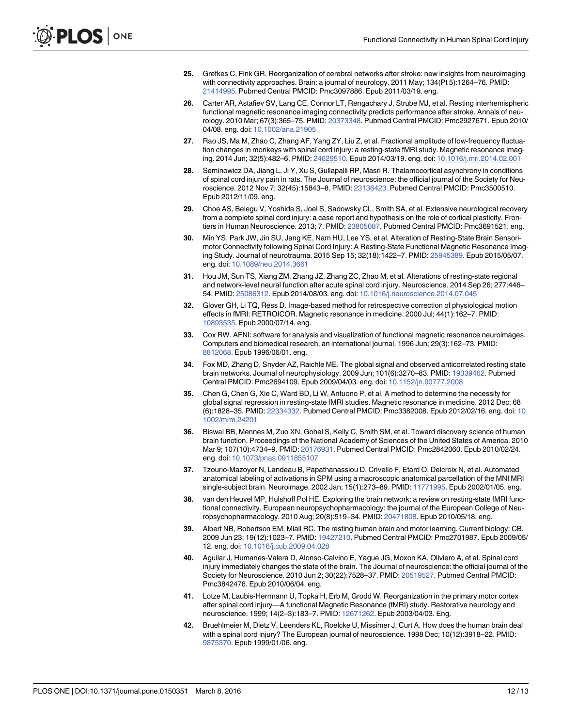- <span id="page-13-0"></span>[25.](#page-3-0) Grefkes C, Fink GR. Reorganization of cerebral networks after stroke: new insights from neuroimaging with connectivity approaches. Brain: a journal of neurology. 2011 May; 134(Pt 5):1264–76. PMID: [21414995](http://www.ncbi.nlm.nih.gov/pubmed/21414995). Pubmed Central PMCID: Pmc3097886. Epub 2011/03/19. eng.
- [26.](#page-3-0) Carter AR, Astafiev SV, Lang CE, Connor LT, Rengachary J, Strube MJ, et al. Resting interhemispheric functional magnetic resonance imaging connectivity predicts performance after stroke. Annals of neurology. 2010 Mar; 67(3):365–75. PMID: [20373348](http://www.ncbi.nlm.nih.gov/pubmed/20373348). Pubmed Central PMCID: Pmc2927671. Epub 2010/ 04/08. eng. doi: [10.1002/ana.21905](http://dx.doi.org/10.1002/ana.21905)
- [27.](#page-3-0) Rao JS, Ma M, Zhao C, Zhang AF, Yang ZY, Liu Z, et al. Fractional amplitude of low-frequency fluctuation changes in monkeys with spinal cord injury: a resting-state fMRI study. Magnetic resonance imaging. 2014 Jun; 32(5):482–6. PMID: [24629510.](http://www.ncbi.nlm.nih.gov/pubmed/24629510) Epub 2014/03/19. eng. doi: [10.1016/j.mri.2014.02.001](http://dx.doi.org/10.1016/j.mri.2014.02.001)
- [28.](#page-3-0) Seminowicz DA, Jiang L, Ji Y, Xu S, Gullapalli RP, Masri R. Thalamocortical asynchrony in conditions of spinal cord injury pain in rats. The Journal of neuroscience: the official journal of the Society for Neuroscience. 2012 Nov 7; 32(45):15843–8. PMID: [23136423.](http://www.ncbi.nlm.nih.gov/pubmed/23136423) Pubmed Central PMCID: Pmc3500510. Epub 2012/11/09. eng.
- [29.](#page-3-0) Choe AS, Belegu V, Yoshida S, Joel S, Sadowsky CL, Smith SA, et al. Extensive neurological recovery from a complete spinal cord injury: a case report and hypothesis on the role of cortical plasticity. Frontiers in Human Neuroscience. 2013; 7. PMID: [23805087.](http://www.ncbi.nlm.nih.gov/pubmed/23805087) Pubmed Central PMCID: Pmc3691521. eng.
- 30. Min YS, Park JW, Jin SU, Jang KE, Nam HU, Lee YS, et al. Alteration of Resting-State Brain Sensorimotor Connectivity following Spinal Cord Injury: A Resting-State Functional Magnetic Resonance Imaging Study. Journal of neurotrauma. 2015 Sep 15; 32(18):1422–7. PMID: [25945389](http://www.ncbi.nlm.nih.gov/pubmed/25945389). Epub 2015/05/07. eng. doi: [10.1089/neu.2014.3661](http://dx.doi.org/10.1089/neu.2014.3661)
- [31.](#page-3-0) Hou JM, Sun TS, Xiang ZM, Zhang JZ, Zhang ZC, Zhao M, et al. Alterations of resting-state regional and network-level neural function after acute spinal cord injury. Neuroscience. 2014 Sep 26; 277:446– 54. PMID: [25086312.](http://www.ncbi.nlm.nih.gov/pubmed/25086312) Epub 2014/08/03. eng. doi: [10.1016/j.neuroscience.2014.07.045](http://dx.doi.org/10.1016/j.neuroscience.2014.07.045)
- [32.](#page-5-0) Glover GH, Li TQ, Ress D. Image-based method for retrospective correction of physiological motion effects in fMRI: RETROICOR. Magnetic resonance in medicine. 2000 Jul; 44(1):162–7. PMID: [10893535](http://www.ncbi.nlm.nih.gov/pubmed/10893535). Epub 2000/07/14. eng.
- [33.](#page-5-0) Cox RW. AFNI: software for analysis and visualization of functional magnetic resonance neuroimages. Computers and biomedical research, an international journal. 1996 Jun; 29(3):162–73. PMID: [8812068.](http://www.ncbi.nlm.nih.gov/pubmed/8812068) Epub 1996/06/01. eng.
- [34.](#page-7-0) Fox MD, Zhang D, Snyder AZ, Raichle ME. The global signal and observed anticorrelated resting state brain networks. Journal of neurophysiology. 2009 Jun; 101(6):3270–83. PMID: [19339462](http://www.ncbi.nlm.nih.gov/pubmed/19339462). Pubmed Central PMCID: Pmc2694109. Epub 2009/04/03. eng. doi: [10.1152/jn.90777.2008](http://dx.doi.org/10.1152/jn.90777.2008)
- [35.](#page-5-0) Chen G, Chen G, Xie C, Ward BD, Li W, Antuono P, et al. A method to determine the necessity for global signal regression in resting-state fMRI studies. Magnetic resonance in medicine. 2012 Dec; 68 (6):1828–35. PMID: [22334332](http://www.ncbi.nlm.nih.gov/pubmed/22334332). Pubmed Central PMCID: Pmc3382008. Epub 2012/02/16. eng. doi: [10.](http://dx.doi.org/10.1002/mrm.24201) [1002/mrm.24201](http://dx.doi.org/10.1002/mrm.24201)
- [36.](#page-5-0) Biswal BB, Mennes M, Zuo XN, Gohel S, Kelly C, Smith SM, et al. Toward discovery science of human brain function. Proceedings of the National Academy of Sciences of the United States of America. 2010 Mar 9; 107(10):4734–9. PMID: [20176931](http://www.ncbi.nlm.nih.gov/pubmed/20176931). Pubmed Central PMCID: Pmc2842060. Epub 2010/02/24. eng. doi: [10.1073/pnas.0911855107](http://dx.doi.org/10.1073/pnas.0911855107)
- [37.](#page-7-0) Tzourio-Mazoyer N, Landeau B, Papathanassiou D, Crivello F, Etard O, Delcroix N, et al. Automated anatomical labeling of activations in SPM using a macroscopic anatomical parcellation of the MNI MRI single-subject brain. Neuroimage. 2002 Jan; 15(1):273–89. PMID: [11771995](http://www.ncbi.nlm.nih.gov/pubmed/11771995). Epub 2002/01/05. eng.
- [38.](#page-7-0) van den Heuvel MP, Hulshoff Pol HE. Exploring the brain network: a review on resting-state fMRI functional connectivity. European neuropsychopharmacology: the journal of the European College of Neuropsychopharmacology. 2010 Aug; 20(8):519–34. PMID: [20471808.](http://www.ncbi.nlm.nih.gov/pubmed/20471808) Epub 2010/05/18. eng.
- [39.](#page-8-0) Albert NB, Robertson EM, Miall RC. The resting human brain and motor learning. Current biology: CB. 2009 Jun 23; 19(12):1023–7. PMID: [19427210.](http://www.ncbi.nlm.nih.gov/pubmed/19427210) Pubmed Central PMCID: Pmc2701987. Epub 2009/05/ 12. eng. doi: [10.1016/j.cub.2009.04.028](http://dx.doi.org/10.1016/j.cub.2009.04.028)
- [40.](#page-8-0) Aguilar J, Humanes-Valera D, Alonso-Calvino E, Yague JG, Moxon KA, Oliviero A, et al. Spinal cord injury immediately changes the state of the brain. The Journal of neuroscience: the official journal of the Society for Neuroscience. 2010 Jun 2; 30(22):7528–37. PMID: [20519527.](http://www.ncbi.nlm.nih.gov/pubmed/20519527) Pubmed Central PMCID: Pmc3842476. Epub 2010/06/04. eng.
- [41.](#page-9-0) Lotze M, Laubis-Herrmann U, Topka H, Erb M, Grodd W. Reorganization in the primary motor cortex after spinal cord injury—A functional Magnetic Resonance (fMRI) study. Restorative neurology and neuroscience. 1999; 14(2–3):183–7. PMID: [12671262.](http://www.ncbi.nlm.nih.gov/pubmed/12671262) Epub 2003/04/03. Eng.
- [42.](#page-9-0) Bruehlmeier M, Dietz V, Leenders KL, Roelcke U, Missimer J, Curt A. How does the human brain deal with a spinal cord injury? The European journal of neuroscience. 1998 Dec; 10(12):3918–22. PMID: [9875370.](http://www.ncbi.nlm.nih.gov/pubmed/9875370) Epub 1999/01/06. eng.